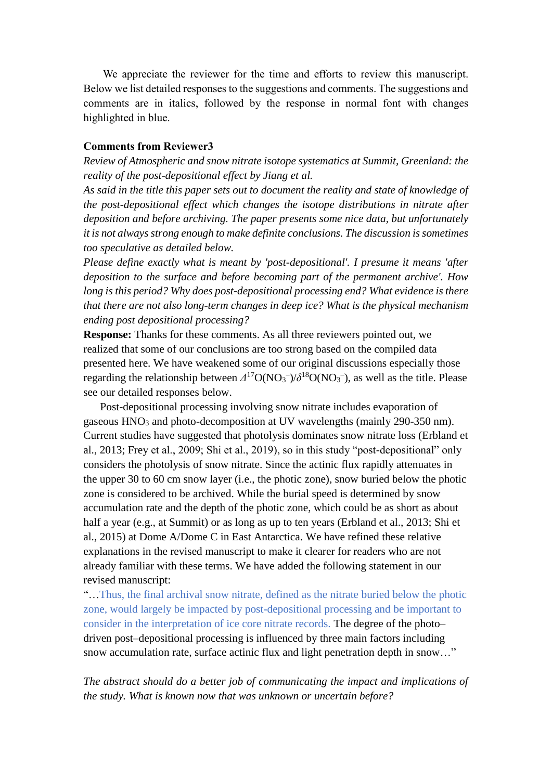We appreciate the reviewer for the time and efforts to review this manuscript. Below we list detailed responses to the suggestions and comments. The suggestions and comments are in italics, followed by the response in normal font with changes highlighted in blue.

### **Comments from Reviewer3**

*Review of Atmospheric and snow nitrate isotope systematics at Summit, Greenland: the reality of the post-depositional effect by Jiang et al.*

*As said in the title this paper sets out to document the reality and state of knowledge of the post-depositional effect which changes the isotope distributions in nitrate after deposition and before archiving. The paper presents some nice data, but unfortunately it is not always strong enough to make definite conclusions. The discussion is sometimes too speculative as detailed below.*

*Please define exactly what is meant by 'post-depositional'. I presume it means 'after deposition to the surface and before becoming part of the permanent archive'. How long is this period? Why does post-depositional processing end? What evidence is there that there are not also long-term changes in deep ice? What is the physical mechanism ending post depositional processing?*

**Response:** Thanks for these comments. As all three reviewers pointed out, we realized that some of our conclusions are too strong based on the compiled data presented here. We have weakened some of our original discussions especially those regarding the relationship between  $\Delta^{17}O(NO_3^-)/\delta^{18}O(NO_3^-)$ , as well as the title. Please see our detailed responses below.

 Post-depositional processing involving snow nitrate includes evaporation of gaseous HNO<sub>3</sub> and photo-decomposition at UV wavelengths (mainly 290-350 nm). Current studies have suggested that photolysis dominates snow nitrate loss (Erbland et al., 2013; Frey et al., 2009; Shi et al., 2019), so in this study "post-depositional" only considers the photolysis of snow nitrate. Since the actinic flux rapidly attenuates in the upper 30 to 60 cm snow layer (i.e., the photic zone), snow buried below the photic zone is considered to be archived. While the burial speed is determined by snow accumulation rate and the depth of the photic zone, which could be as short as about half a year (e.g., at Summit) or as long as up to ten years (Erbland et al., 2013; Shi et al., 2015) at Dome A/Dome C in East Antarctica. We have refined these relative explanations in the revised manuscript to make it clearer for readers who are not already familiar with these terms. We have added the following statement in our revised manuscript:

"…Thus, the final archival snow nitrate, defined as the nitrate buried below the photic zone, would largely be impacted by post-depositional processing and be important to consider in the interpretation of ice core nitrate records. The degree of the photo– driven post–depositional processing is influenced by three main factors including snow accumulation rate, surface actinic flux and light penetration depth in snow..."

*The abstract should do a better job of communicating the impact and implications of the study. What is known now that was unknown or uncertain before?*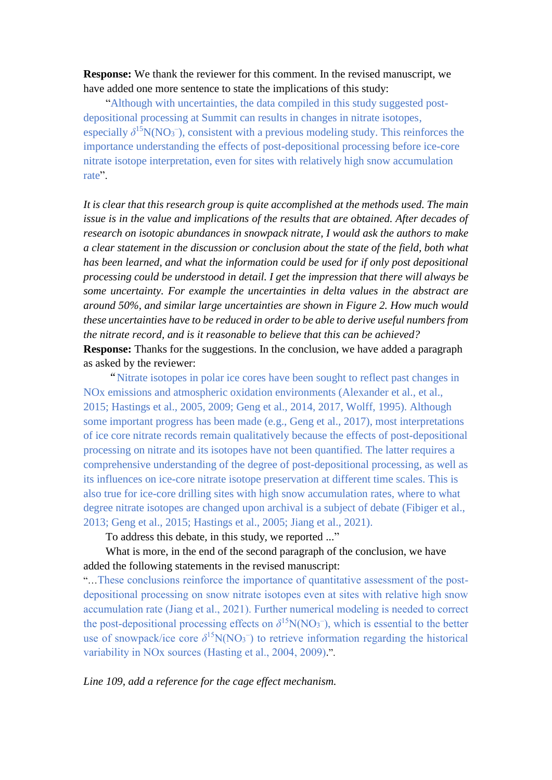**Response:** We thank the reviewer for this comment. In the revised manuscript, we have added one more sentence to state the implications of this study:

 "Although with uncertainties, the data compiled in this study suggested postdepositional processing at Summit can results in changes in nitrate isotopes, especially  $\delta^{15}N(NO_3^-)$ , consistent with a previous modeling study. This reinforces the importance understanding the effects of post-depositional processing before ice-core nitrate isotope interpretation, even for sites with relatively high snow accumulation rate".

*It is clear that this research group is quite accomplished at the methods used. The main issue is in the value and implications of the results that are obtained. After decades of research on isotopic abundances in snowpack nitrate, I would ask the authors to make a clear statement in the discussion or conclusion about the state of the field, both what*  has been learned, and what the information could be used for if only post depositional *processing could be understood in detail. I get the impression that there will always be some uncertainty. For example the uncertainties in delta values in the abstract are around 50%, and similar large uncertainties are shown in Figure 2. How much would these uncertainties have to be reduced in order to be able to derive useful numbers from the nitrate record, and is it reasonable to believe that this can be achieved?* **Response:** Thanks for the suggestions. In the conclusion, we have added a paragraph as asked by the reviewer:

"Nitrate isotopes in polar ice cores have been sought to reflect past changes in NOx emissions and atmospheric oxidation environments (Alexander et al., et al., 2015; Hastings et al., 2005, 2009; Geng et al., 2014, 2017, Wolff, 1995). Although some important progress has been made (e.g., Geng et al., 2017), most interpretations of ice core nitrate records remain qualitatively because the effects of post-depositional processing on nitrate and its isotopes have not been quantified. The latter requires a comprehensive understanding of the degree of post-depositional processing, as well as its influences on ice-core nitrate isotope preservation at different time scales. This is also true for ice-core drilling sites with high snow accumulation rates, where to what degree nitrate isotopes are changed upon archival is a subject of debate (Fibiger et al., 2013; Geng et al., 2015; Hastings et al., 2005; Jiang et al., 2021).

To address this debate, in this study, we reported ..."

## What is more, in the end of the second paragraph of the conclusion, we have added the following statements in the revised manuscript:

"…These conclusions reinforce the importance of quantitative assessment of the postdepositional processing on snow nitrate isotopes even at sites with relative high snow accumulation rate (Jiang et al., 2021). Further numerical modeling is needed to correct the post-depositional processing effects on  $\delta^{15}N(NO_3^-)$ , which is essential to the better use of snowpack/ice core  $\delta^{15}N(NO_3^-)$  to retrieve information regarding the historical variability in NOx sources (Hasting et al., 2004, 2009).".

### *Line 109, add a reference for the cage effect mechanism.*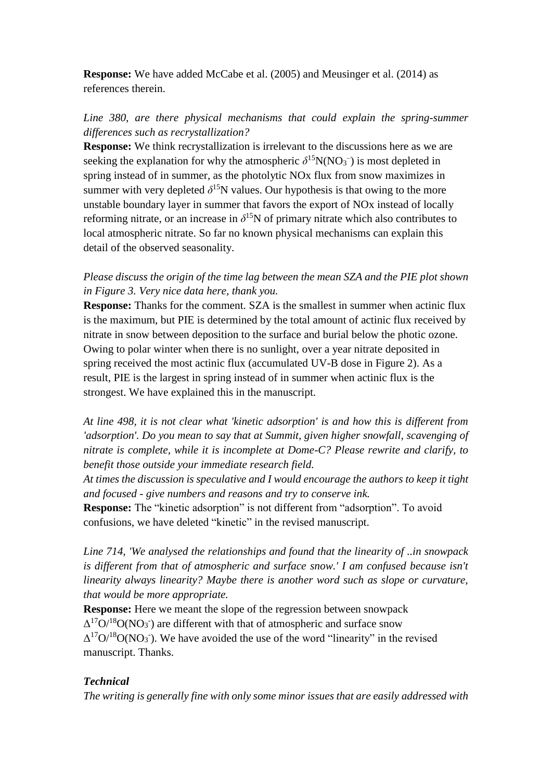**Response:** We have added McCabe et al. (2005) and Meusinger et al. (2014) as references therein.

# *Line 380, are there physical mechanisms that could explain the spring-summer differences such as recrystallization?*

**Response:** We think recrystallization is irrelevant to the discussions here as we are seeking the explanation for why the atmospheric  $\delta^{15}N(NO_3^-)$  is most depleted in spring instead of in summer, as the photolytic NOx flux from snow maximizes in summer with very depleted  $\delta^{15}N$  values. Our hypothesis is that owing to the more unstable boundary layer in summer that favors the export of NOx instead of locally reforming nitrate, or an increase in  $\delta^{15}N$  of primary nitrate which also contributes to local atmospheric nitrate. So far no known physical mechanisms can explain this detail of the observed seasonality.

## *Please discuss the origin of the time lag between the mean SZA and the PIE plot shown in Figure 3. Very nice data here, thank you.*

**Response:** Thanks for the comment. SZA is the smallest in summer when actinic flux is the maximum, but PIE is determined by the total amount of actinic flux received by nitrate in snow between deposition to the surface and burial below the photic ozone. Owing to polar winter when there is no sunlight, over a year nitrate deposited in spring received the most actinic flux (accumulated UV-B dose in Figure 2). As a result, PIE is the largest in spring instead of in summer when actinic flux is the strongest. We have explained this in the manuscript.

*At line 498, it is not clear what 'kinetic adsorption' is and how this is different from 'adsorption'. Do you mean to say that at Summit, given higher snowfall, scavenging of nitrate is complete, while it is incomplete at Dome-C? Please rewrite and clarify, to benefit those outside your immediate research field.*

*At times the discussion is speculative and I would encourage the authors to keep it tight and focused - give numbers and reasons and try to conserve ink.*

**Response:** The "kinetic adsorption" is not different from "adsorption". To avoid confusions, we have deleted "kinetic" in the revised manuscript.

*Line 714, 'We analysed the relationships and found that the linearity of ..in snowpack is different from that of atmospheric and surface snow.' I am confused because isn't linearity always linearity? Maybe there is another word such as slope or curvature, that would be more appropriate.*

**Response:** Here we meant the slope of the regression between snowpack  $\Delta^{17}O^{18}O(NO_3)$  are different with that of atmospheric and surface snow  $\Delta^{17}O^{18}O(NO_3)$ . We have avoided the use of the word "linearity" in the revised manuscript. Thanks.

## *Technical*

*The writing is generally fine with only some minor issues that are easily addressed with*